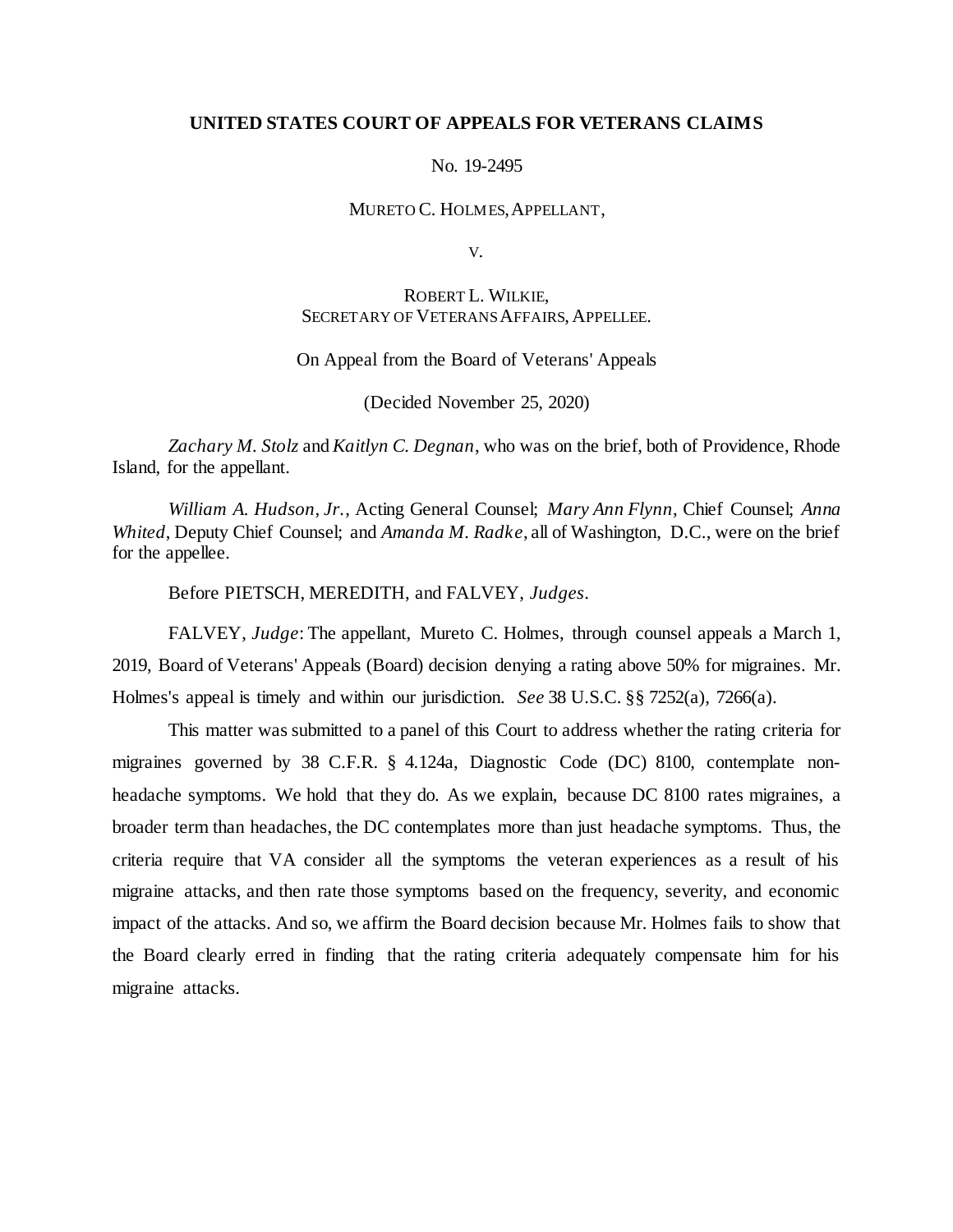### **UNITED STATES COURT OF APPEALS FOR VETERANS CLAIMS**

#### No. 19-2495

#### MURETO C. HOLMES, APPELLANT,

V.

# ROBERT L. WILKIE, SECRETARY OF VETERANS AFFAIRS, APPELLEE.

### On Appeal from the Board of Veterans' Appeals

(Decided November 25, 2020)

*Zachary M. Stolz* and *Kaitlyn C. Degnan*, who was on the brief, both of Providence, Rhode Island, for the appellant.

*William A. Hudson, Jr.*, Acting General Counsel; *Mary Ann Flynn*, Chief Counsel; *Anna Whited*, Deputy Chief Counsel; and *Amanda M. Radke*, all of Washington, D.C., were on the brief for the appellee.

Before PIETSCH, MEREDITH, and FALVEY, *Judges*.

FALVEY, *Judge*: The appellant, Mureto C. Holmes, through counsel appeals a March 1, 2019, Board of Veterans' Appeals (Board) decision denying a rating above 50% for migraines. Mr. Holmes's appeal is timely and within our jurisdiction. *See* 38 U.S.C. §§ 7252(a), 7266(a).

This matter was submitted to a panel of this Court to address whether the rating criteria for migraines governed by 38 C.F.R. § 4.124a, Diagnostic Code (DC) 8100, contemplate nonheadache symptoms. We hold that they do. As we explain, because DC 8100 rates migraines, a broader term than headaches, the DC contemplates more than just headache symptoms. Thus, the criteria require that VA consider all the symptoms the veteran experiences as a result of his migraine attacks, and then rate those symptoms based on the frequency, severity, and economic impact of the attacks. And so, we affirm the Board decision because Mr. Holmes fails to show that the Board clearly erred in finding that the rating criteria adequately compensate him for his migraine attacks.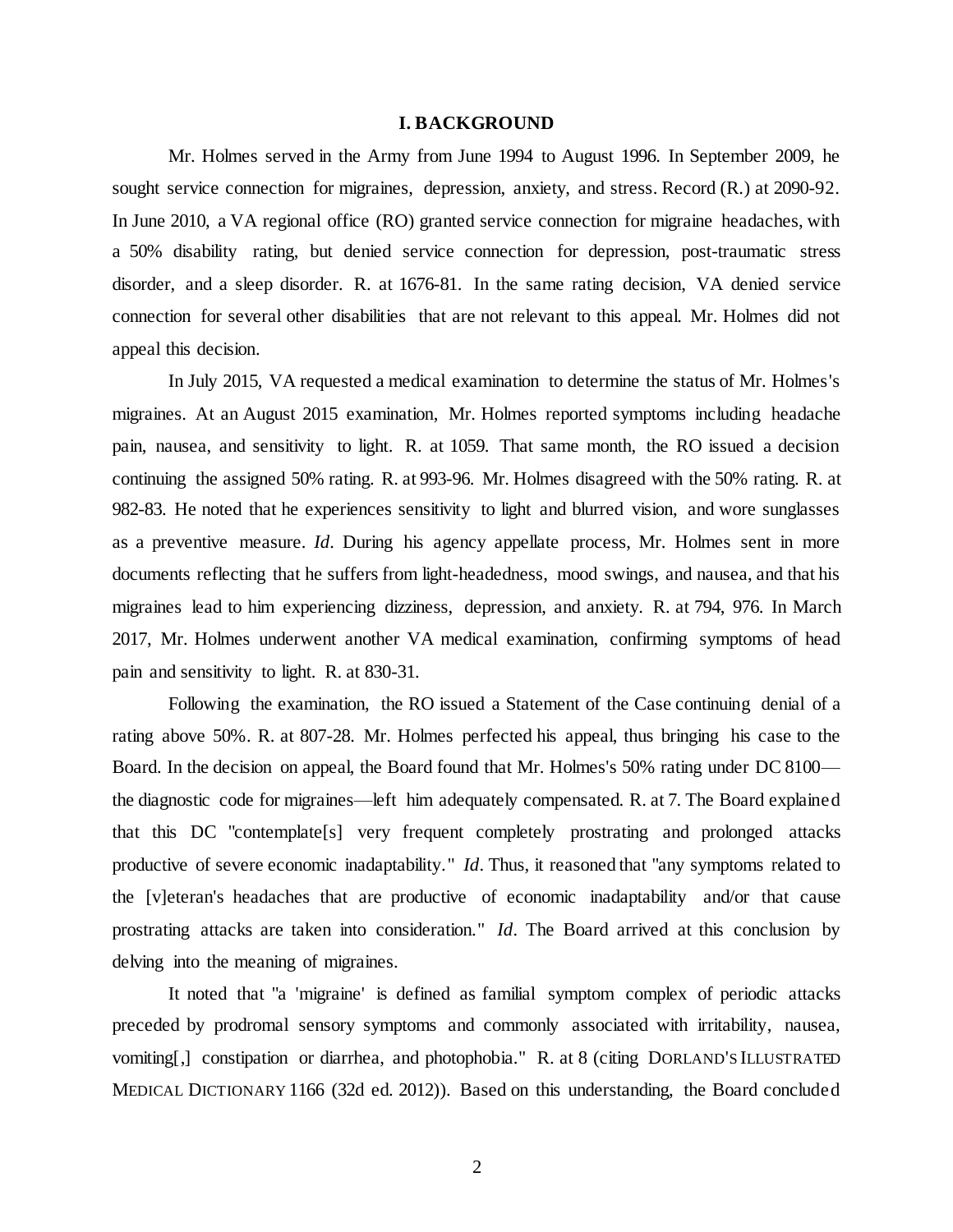#### **I. BACKGROUND**

Mr. Holmes served in the Army from June 1994 to August 1996. In September 2009, he sought service connection for migraines, depression, anxiety, and stress. Record (R.) at 2090-92. In June 2010, a VA regional office (RO) granted service connection for migraine headaches, with a 50% disability rating, but denied service connection for depression, post-traumatic stress disorder, and a sleep disorder. R. at 1676-81. In the same rating decision, VA denied service connection for several other disabilities that are not relevant to this appeal. Mr. Holmes did not appeal this decision.

In July 2015, VA requested a medical examination to determine the status of Mr. Holmes's migraines. At an August 2015 examination, Mr. Holmes reported symptoms including headache pain, nausea, and sensitivity to light. R. at 1059. That same month, the RO issued a decision continuing the assigned 50% rating. R. at 993-96. Mr. Holmes disagreed with the 50% rating. R. at 982-83. He noted that he experiences sensitivity to light and blurred vision, and wore sunglasses as a preventive measure. *Id.* During his agency appellate process, Mr. Holmes sent in more documents reflecting that he suffers from light-headedness, mood swings, and nausea, and that his migraines lead to him experiencing dizziness, depression, and anxiety. R. at 794, 976. In March 2017, Mr. Holmes underwent another VA medical examination, confirming symptoms of head pain and sensitivity to light. R. at 830-31.

Following the examination, the RO issued a Statement of the Case continuing denial of a rating above 50%. R. at 807-28. Mr. Holmes perfected his appeal, thus bringing his case to the Board. In the decision on appeal, the Board found that Mr. Holmes's 50% rating under DC 8100 the diagnostic code for migraines—left him adequately compensated. R. at 7. The Board explained that this DC "contemplate[s] very frequent completely prostrating and prolonged attacks productive of severe economic inadaptability." *Id.* Thus, it reasoned that "any symptoms related to the [v]eteran's headaches that are productive of economic inadaptability and/or that cause prostrating attacks are taken into consideration." *Id.* The Board arrived at this conclusion by delving into the meaning of migraines.

It noted that "a 'migraine' is defined as familial symptom complex of periodic attacks preceded by prodromal sensory symptoms and commonly associated with irritability, nausea, vomiting[,] constipation or diarrhea, and photophobia." R. at 8 (citing DORLAND'S ILLUSTRATED MEDICAL DICTIONARY 1166 (32d ed. 2012)). Based on this understanding, the Board concluded

2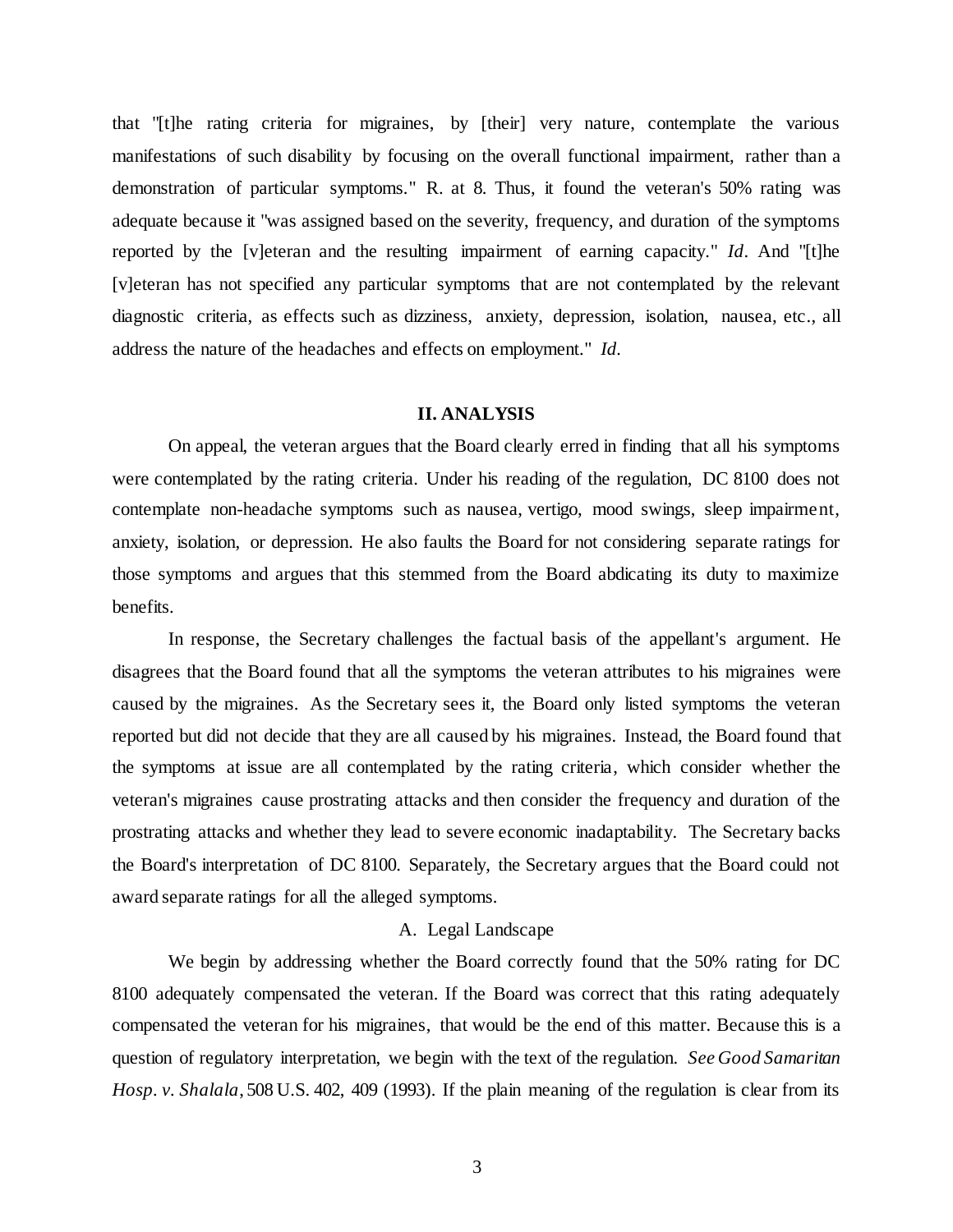that "[t]he rating criteria for migraines, by [their] very nature, contemplate the various manifestations of such disability by focusing on the overall functional impairment, rather than a demonstration of particular symptoms." R. at 8. Thus, it found the veteran's 50% rating was adequate because it "was assigned based on the severity, frequency, and duration of the symptoms reported by the [v]eteran and the resulting impairment of earning capacity." *Id*. And "[t]he [v]eteran has not specified any particular symptoms that are not contemplated by the relevant diagnostic criteria, as effects such as dizziness, anxiety, depression, isolation, nausea, etc., all address the nature of the headaches and effects on employment." *Id.* 

### **II. ANALYSIS**

On appeal, the veteran argues that the Board clearly erred in finding that all his symptoms were contemplated by the rating criteria. Under his reading of the regulation, DC 8100 does not contemplate non-headache symptoms such as nausea, vertigo, mood swings, sleep impairment, anxiety, isolation, or depression. He also faults the Board for not considering separate ratings for those symptoms and argues that this stemmed from the Board abdicating its duty to maximize benefits.

In response, the Secretary challenges the factual basis of the appellant's argument. He disagrees that the Board found that all the symptoms the veteran attributes to his migraines were caused by the migraines. As the Secretary sees it, the Board only listed symptoms the veteran reported but did not decide that they are all caused by his migraines. Instead, the Board found that the symptoms at issue are all contemplated by the rating criteria, which consider whether the veteran's migraines cause prostrating attacks and then consider the frequency and duration of the prostrating attacks and whether they lead to severe economic inadaptability. The Secretary backs the Board's interpretation of DC 8100. Separately, the Secretary argues that the Board could not award separate ratings for all the alleged symptoms.

## A. Legal Landscape

We begin by addressing whether the Board correctly found that the 50% rating for DC 8100 adequately compensated the veteran. If the Board was correct that this rating adequately compensated the veteran for his migraines, that would be the end of this matter. Because this is a question of regulatory interpretation, we begin with the text of the regulation. *See Good Samaritan Hosp. v. Shalala*, 508 U.S. 402, 409 (1993). If the plain meaning of the regulation is clear from its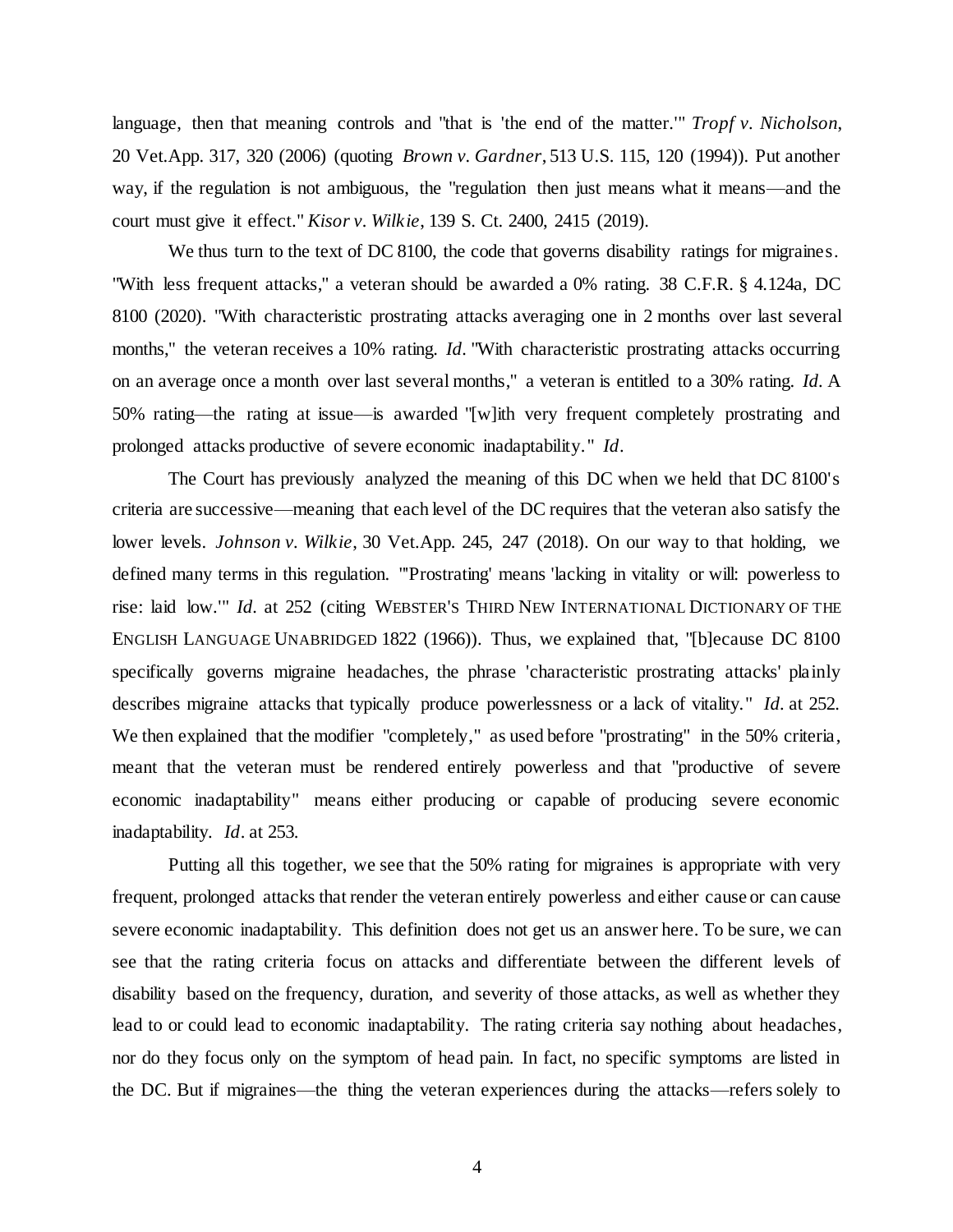language, then that meaning controls and "that is 'the end of the matter.'" *Tropf v. Nicholson*, 20 Vet.App. 317, 320 (2006) (quoting *Brown v. Gardner*, 513 U.S. 115, 120 (1994)). Put another way, if the regulation is not ambiguous, the "regulation then just means what it means—and the court must give it effect." *Kisor v. Wilkie*, 139 S. Ct. 2400, 2415 (2019).

We thus turn to the text of DC 8100, the code that governs disability ratings for migraines. "With less frequent attacks," a veteran should be awarded a 0% rating. 38 C.F.R. § 4.124a, DC 8100 (2020). "With characteristic prostrating attacks averaging one in 2 months over last several months," the veteran receives a 10% rating. *Id.* "With characteristic prostrating attacks occurring on an average once a month over last several months," a veteran is entitled to a 30% rating. *Id.* A 50% rating—the rating at issue—is awarded "[w]ith very frequent completely prostrating and prolonged attacks productive of severe economic inadaptability." *Id*.

The Court has previously analyzed the meaning of this DC when we held that DC 8100's criteria are successive—meaning that each level of the DC requires that the veteran also satisfy the lower levels. *Johnson v. Wilkie*, 30 Vet.App. 245, 247 (2018). On our way to that holding, we defined many terms in this regulation. "'Prostrating' means 'lacking in vitality or will: powerless to rise: laid low.'" *Id.* at 252 (citing WEBSTER'S THIRD NEW INTERNATIONAL DICTIONARY OF THE ENGLISH LANGUAGE UNABRIDGED 1822 (1966)). Thus, we explained that, "[b]ecause DC 8100 specifically governs migraine headaches, the phrase 'characteristic prostrating attacks' plainly describes migraine attacks that typically produce powerlessness or a lack of vitality." *Id.* at 252. We then explained that the modifier "completely," as used before "prostrating" in the 50% criteria, meant that the veteran must be rendered entirely powerless and that "productive of severe economic inadaptability" means either producing or capable of producing severe economic inadaptability. *Id*. at 253.

Putting all this together, we see that the 50% rating for migraines is appropriate with very frequent, prolonged attacks that render the veteran entirely powerless and either cause or can cause severe economic inadaptability. This definition does not get us an answer here. To be sure, we can see that the rating criteria focus on attacks and differentiate between the different levels of disability based on the frequency, duration, and severity of those attacks, as well as whether they lead to or could lead to economic inadaptability. The rating criteria say nothing about headaches, nor do they focus only on the symptom of head pain. In fact, no specific symptoms are listed in the DC. But if migraines—the thing the veteran experiences during the attacks—refers solely to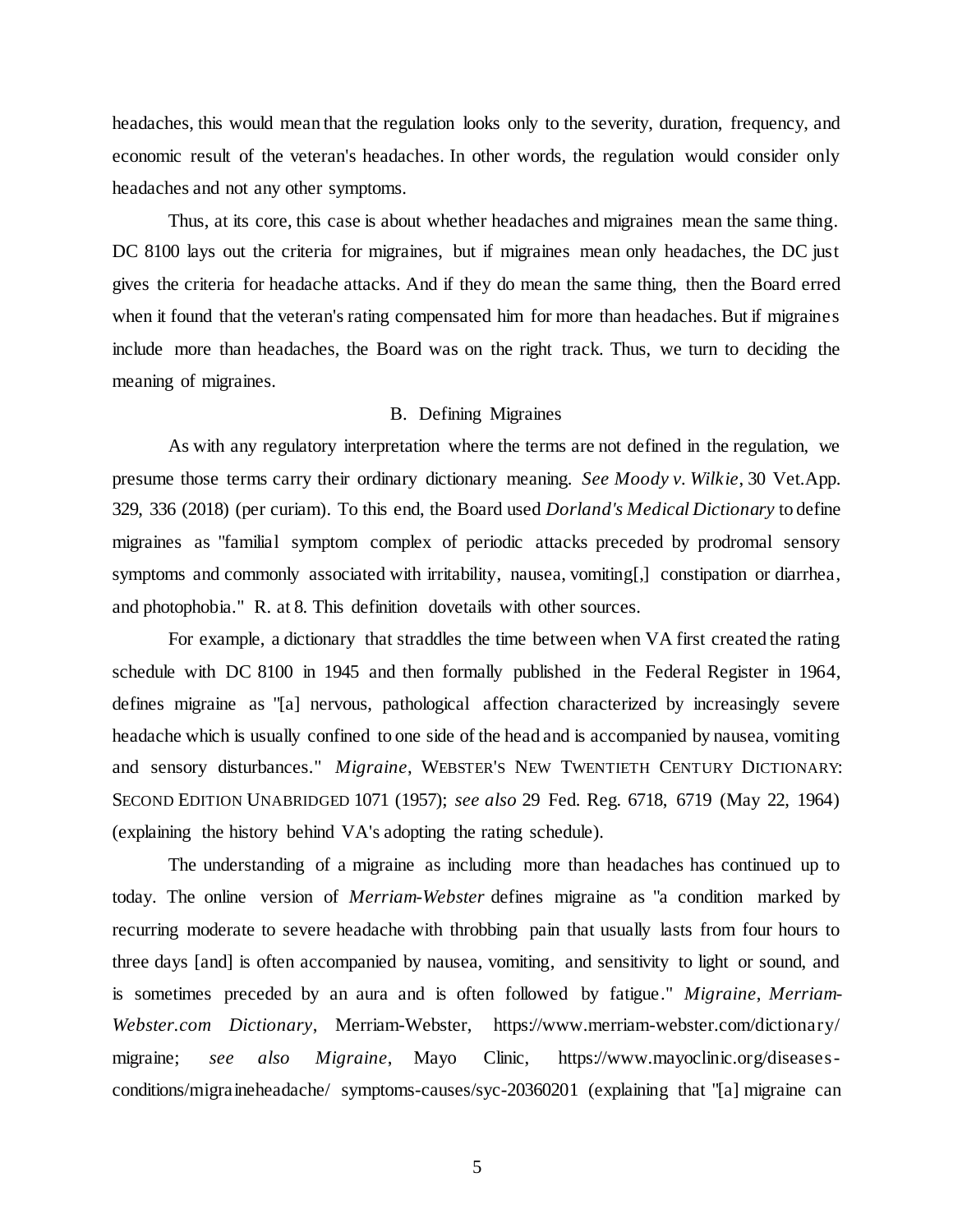headaches, this would mean that the regulation looks only to the severity, duration, frequency, and economic result of the veteran's headaches. In other words, the regulation would consider only headaches and not any other symptoms.

Thus, at its core, this case is about whether headaches and migraines mean the same thing. DC 8100 lays out the criteria for migraines, but if migraines mean only headaches, the DC just gives the criteria for headache attacks. And if they do mean the same thing, then the Board erred when it found that the veteran's rating compensated him for more than headaches. But if migraines include more than headaches, the Board was on the right track. Thus, we turn to deciding the meaning of migraines.

# B. Defining Migraines

As with any regulatory interpretation where the terms are not defined in the regulation, we presume those terms carry their ordinary dictionary meaning. *See Moody v. Wilkie*, 30 Vet.App. 329, 336 (2018) (per curiam). To this end, the Board used *Dorland's Medical Dictionary* to define migraines as "familial symptom complex of periodic attacks preceded by prodromal sensory symptoms and commonly associated with irritability, nausea, vomiting[,] constipation or diarrhea, and photophobia." R. at 8. This definition dovetails with other sources.

For example, a dictionary that straddles the time between when VA first created the rating schedule with DC 8100 in 1945 and then formally published in the Federal Register in 1964, defines migraine as "[a] nervous, pathological affection characterized by increasingly severe headache which is usually confined to one side of the head and is accompanied by nausea, vomiting and sensory disturbances." *Migraine*, WEBSTER'S NEW TWENTIETH CENTURY DICTIONARY: SECOND EDITION UNABRIDGED 1071 (1957); *see also* 29 Fed. Reg. 6718, 6719 (May 22, 1964) (explaining the history behind VA's adopting the rating schedule).

The understanding of a migraine as including more than headaches has continued up to today. The online version of *Merriam-Webster* defines migraine as "a condition marked by recurring moderate to severe headache with throbbing pain that usually lasts from four hours to three days [and] is often accompanied by nausea, vomiting, and sensitivity to light or sound, and is sometimes preceded by an aura and is often followed by fatigue." *Migraine*, *Merriam-Webster.com Dictionary*, Merriam-Webster, https://www.merriam-webster.com/dictionary/ migraine; *see also Migraine*, Mayo Clinic, https://www.mayoclinic.org/diseasesconditions/migraineheadache/ symptoms-causes/syc-20360201 (explaining that "[a] migraine can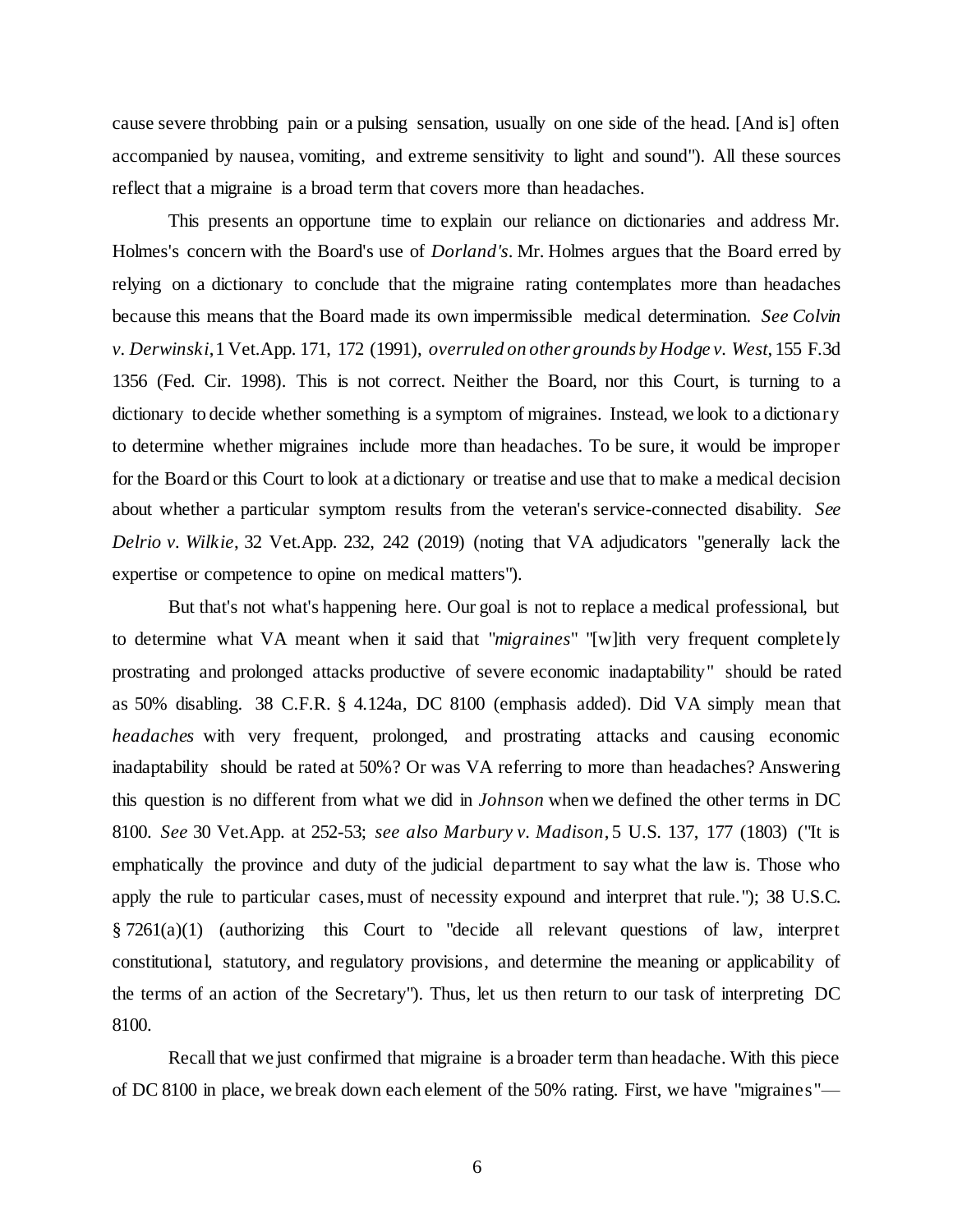cause severe throbbing pain or a pulsing sensation, usually on one side of the head. [And is] often accompanied by nausea, vomiting, and extreme sensitivity to light and sound"). All these sources reflect that a migraine is a broad term that covers more than headaches.

This presents an opportune time to explain our reliance on dictionaries and address Mr. Holmes's concern with the Board's use of *Dorland's*. Mr. Holmes argues that the Board erred by relying on a dictionary to conclude that the migraine rating contemplates more than headaches because this means that the Board made its own impermissible medical determination. *See Colvin v. Derwinski*, 1 Vet.App. 171, 172 (1991), *overruled on other grounds by Hodge v. West*, 155 F.3d 1356 (Fed. Cir. 1998). This is not correct. Neither the Board, nor this Court, is turning to a dictionary to decide whether something is a symptom of migraines. Instead, we look to a dictionary to determine whether migraines include more than headaches. To be sure, it would be improper for the Board or this Court to look at a dictionary or treatise and use that to make a medical decision about whether a particular symptom results from the veteran's service-connected disability. *See Delrio v. Wilkie*, 32 Vet.App. 232, 242 (2019) (noting that VA adjudicators "generally lack the expertise or competence to opine on medical matters").

But that's not what's happening here. Our goal is not to replace a medical professional, but to determine what VA meant when it said that "*migraines*" "[w]ith very frequent completely prostrating and prolonged attacks productive of severe economic inadaptability" should be rated as 50% disabling. 38 C.F.R. § 4.124a, DC 8100 (emphasis added). Did VA simply mean that *headaches* with very frequent, prolonged, and prostrating attacks and causing economic inadaptability should be rated at 50%? Or was VA referring to more than headaches? Answering this question is no different from what we did in *Johnson* when we defined the other terms in DC 8100. *See* 30 Vet.App. at 252-53; *see also Marbury v. Madison*, 5 U.S. 137, 177 (1803) ("It is emphatically the province and duty of the judicial department to say what the law is. Those who apply the rule to particular cases, must of necessity expound and interpret that rule."); 38 U.S.C. § 7261(a)(1) (authorizing this Court to "decide all relevant questions of law, interpret constitutional, statutory, and regulatory provisions, and determine the meaning or applicability of the terms of an action of the Secretary"). Thus, let us then return to our task of interpreting DC 8100.

Recall that we just confirmed that migraine is a broader term than headache. With this piece of DC 8100 in place, we break down each element of the 50% rating. First, we have "migraines"—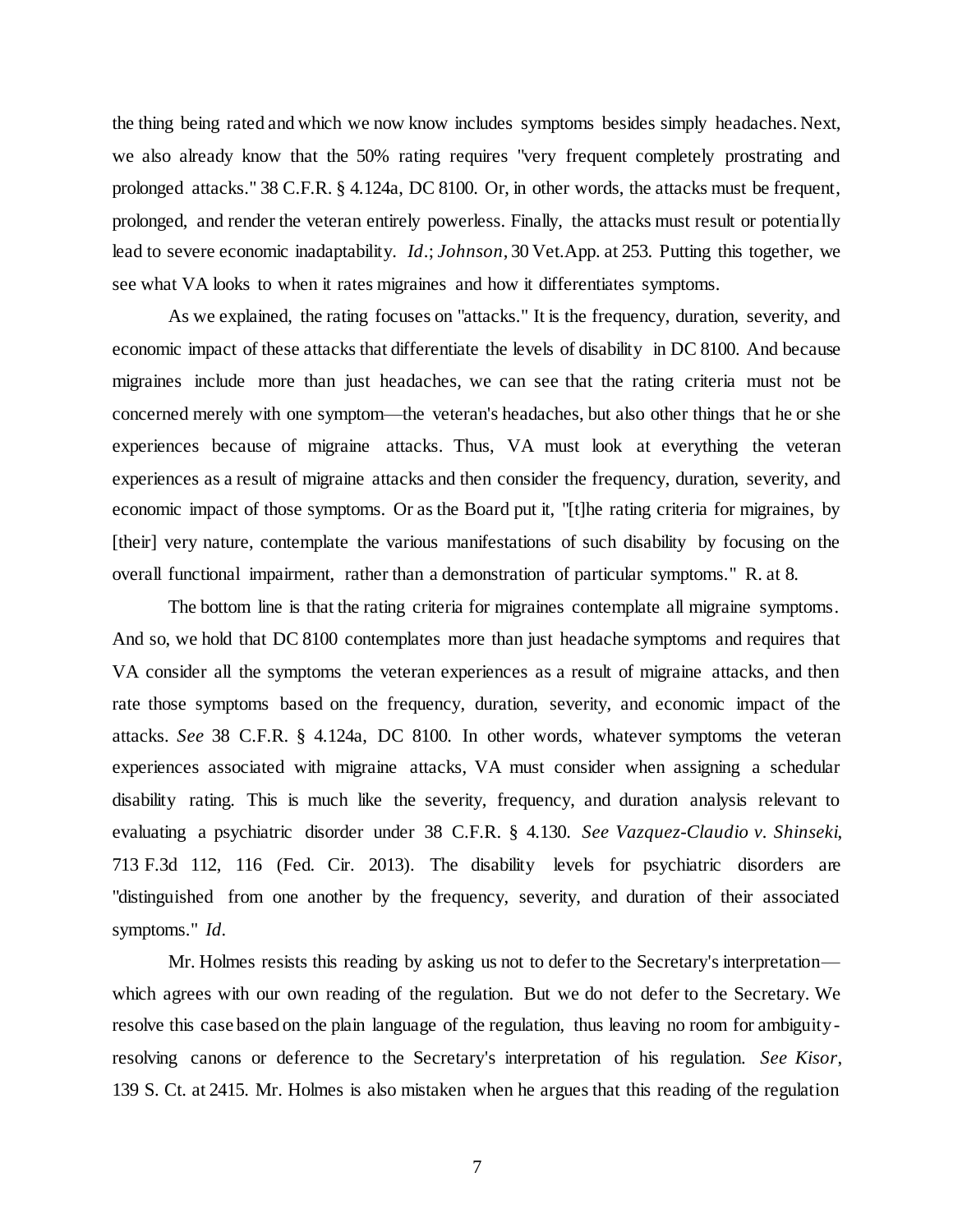the thing being rated and which we now know includes symptoms besides simply headaches. Next, we also already know that the 50% rating requires "very frequent completely prostrating and prolonged attacks." 38 C.F.R. § 4.124a, DC 8100. Or, in other words, the attacks must be frequent, prolonged, and render the veteran entirely powerless. Finally, the attacks must result or potentially lead to severe economic inadaptability. *Id*.; *Johnson*, 30 Vet.App. at 253. Putting this together, we see what VA looks to when it rates migraines and how it differentiates symptoms.

As we explained, the rating focuses on "attacks." It is the frequency, duration, severity, and economic impact of these attacks that differentiate the levels of disability in DC 8100. And because migraines include more than just headaches, we can see that the rating criteria must not be concerned merely with one symptom—the veteran's headaches, but also other things that he or she experiences because of migraine attacks. Thus, VA must look at everything the veteran experiences as a result of migraine attacks and then consider the frequency, duration, severity, and economic impact of those symptoms. Or as the Board put it, "[t]he rating criteria for migraines, by [their] very nature, contemplate the various manifestations of such disability by focusing on the overall functional impairment, rather than a demonstration of particular symptoms." R. at 8.

The bottom line is that the rating criteria for migraines contemplate all migraine symptoms. And so, we hold that DC 8100 contemplates more than just headache symptoms and requires that VA consider all the symptoms the veteran experiences as a result of migraine attacks, and then rate those symptoms based on the frequency, duration, severity, and economic impact of the attacks. *See* 38 C.F.R. § 4.124a, DC 8100. In other words, whatever symptoms the veteran experiences associated with migraine attacks, VA must consider when assigning a schedular disability rating. This is much like the severity, frequency, and duration analysis relevant to evaluating a psychiatric disorder under 38 C.F.R. § 4.130. *See Vazquez-Claudio v. Shinseki*, 713 F.3d 112, 116 (Fed. Cir. 2013). The disability levels for psychiatric disorders are "distinguished from one another by the frequency, severity, and duration of their associated symptoms." *Id.* 

Mr. Holmes resists this reading by asking us not to defer to the Secretary's interpretation which agrees with our own reading of the regulation. But we do not defer to the Secretary. We resolve this case based on the plain language of the regulation, thus leaving no room for ambiguityresolving canons or deference to the Secretary's interpretation of his regulation. *See Kisor*, 139 S. Ct. at 2415. Mr. Holmes is also mistaken when he argues that this reading of the regulation

7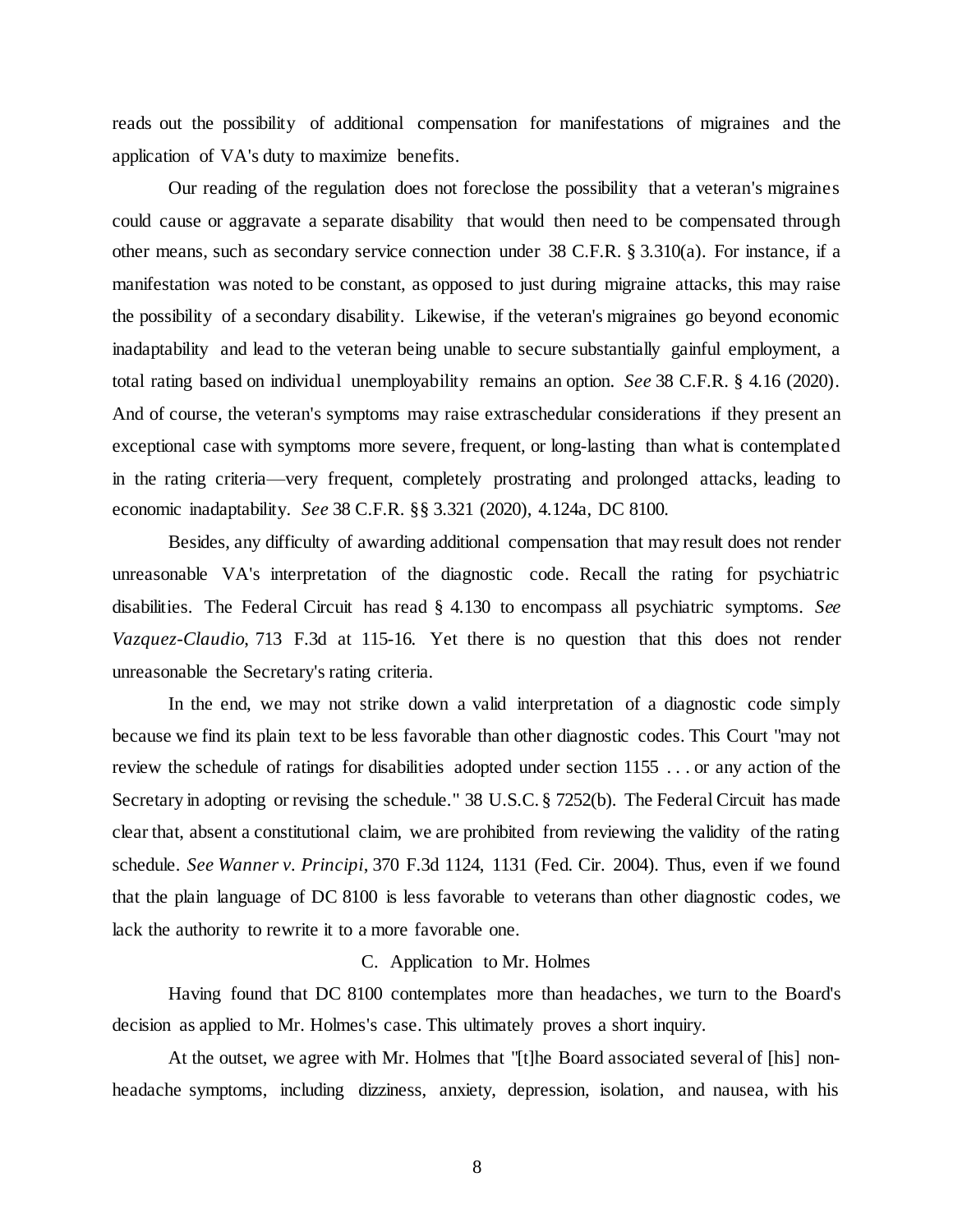reads out the possibility of additional compensation for manifestations of migraines and the application of VA's duty to maximize benefits.

Our reading of the regulation does not foreclose the possibility that a veteran's migraines could cause or aggravate a separate disability that would then need to be compensated through other means, such as secondary service connection under 38 C.F.R. § 3.310(a). For instance, if a manifestation was noted to be constant, as opposed to just during migraine attacks, this may raise the possibility of a secondary disability. Likewise, if the veteran's migraines go beyond economic inadaptability and lead to the veteran being unable to secure substantially gainful employment, a total rating based on individual unemployability remains an option. *See* 38 C.F.R. § 4.16 (2020). And of course, the veteran's symptoms may raise extraschedular considerations if they present an exceptional case with symptoms more severe, frequent, or long-lasting than what is contemplated in the rating criteria—very frequent, completely prostrating and prolonged attacks, leading to economic inadaptability. *See* 38 C.F.R. §§ 3.321 (2020), 4.124a, DC 8100.

Besides, any difficulty of awarding additional compensation that may result does not render unreasonable VA's interpretation of the diagnostic code. Recall the rating for psychiatric disabilities. The Federal Circuit has read § 4.130 to encompass all psychiatric symptoms. *See Vazquez-Claudio*, 713 F.3d at 115-16. Yet there is no question that this does not render unreasonable the Secretary's rating criteria.

In the end, we may not strike down a valid interpretation of a diagnostic code simply because we find its plain text to be less favorable than other diagnostic codes. This Court "may not review the schedule of ratings for disabilities adopted under section 1155 . . . or any action of the Secretary in adopting or revising the schedule." 38 U.S.C. § 7252(b). The Federal Circuit has made clear that, absent a constitutional claim, we are prohibited from reviewing the validity of the rating schedule. *See Wanner v. Principi*, 370 F.3d 1124, 1131 (Fed. Cir. 2004). Thus, even if we found that the plain language of DC 8100 is less favorable to veterans than other diagnostic codes, we lack the authority to rewrite it to a more favorable one.

## C. Application to Mr. Holmes

Having found that DC 8100 contemplates more than headaches, we turn to the Board's decision as applied to Mr. Holmes's case. This ultimately proves a short inquiry.

At the outset, we agree with Mr. Holmes that "[t]he Board associated several of [his] nonheadache symptoms, including dizziness, anxiety, depression, isolation, and nausea, with his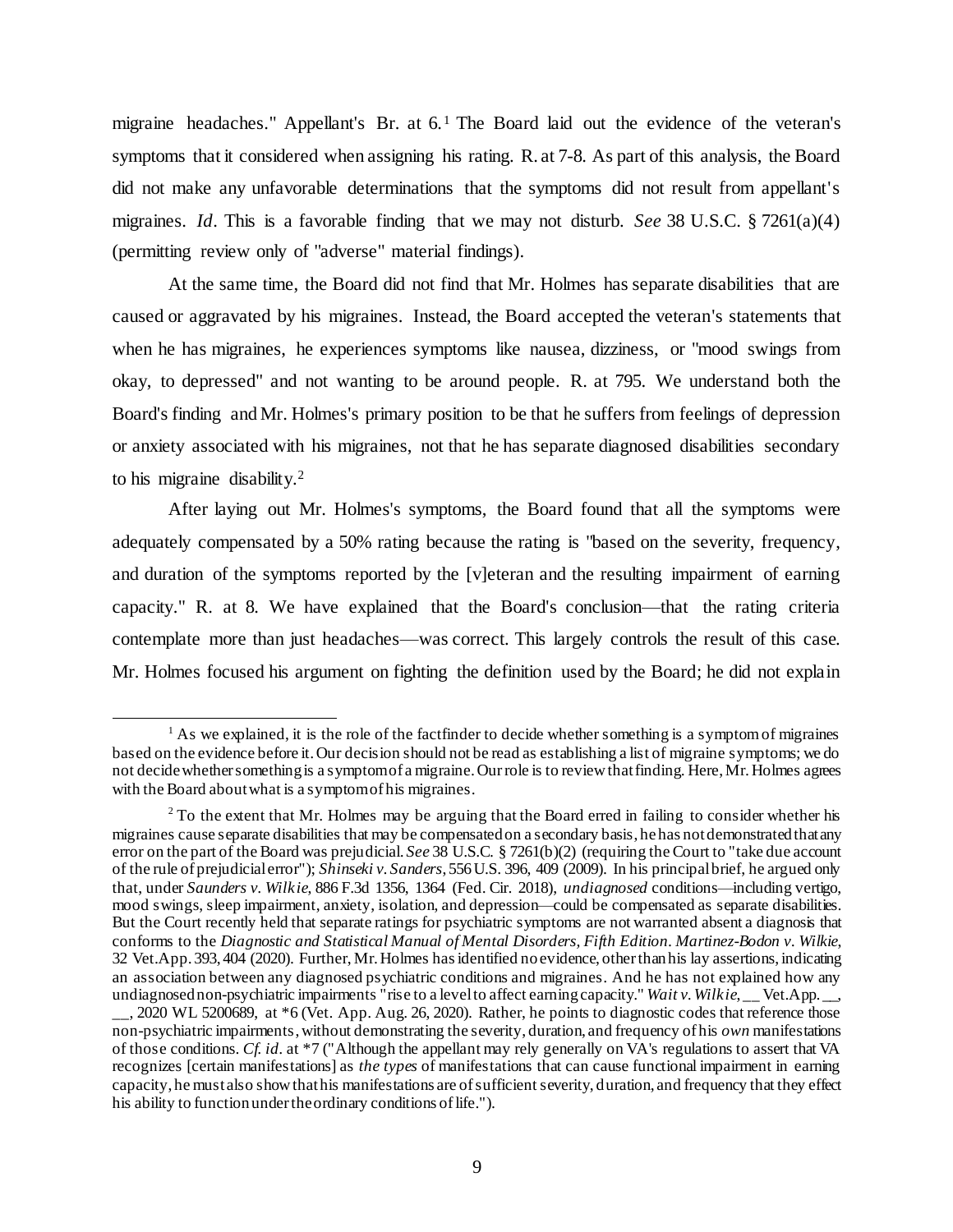migraine headaches." Appellant's Br. at 6.<sup>1</sup> The Board laid out the evidence of the veteran's symptoms that it considered when assigning his rating. R. at 7-8. As part of this analysis, the Board did not make any unfavorable determinations that the symptoms did not result from appellant's migraines. *Id*. This is a favorable finding that we may not disturb. *See* 38 U.S.C. § 7261(a)(4) (permitting review only of "adverse" material findings).

At the same time, the Board did not find that Mr. Holmes has separate disabilities that are caused or aggravated by his migraines. Instead, the Board accepted the veteran's statements that when he has migraines, he experiences symptoms like nausea, dizziness, or "mood swings from okay, to depressed" and not wanting to be around people. R. at 795. We understand both the Board's finding and Mr. Holmes's primary position to be that he suffers from feelings of depression or anxiety associated with his migraines, not that he has separate diagnosed disabilities secondary to his migraine disability.<sup>2</sup>

After laying out Mr. Holmes's symptoms, the Board found that all the symptoms were adequately compensated by a 50% rating because the rating is "based on the severity, frequency, and duration of the symptoms reported by the [v]eteran and the resulting impairment of earning capacity." R. at 8. We have explained that the Board's conclusion—that the rating criteria contemplate more than just headaches—was correct. This largely controls the result of this case. Mr. Holmes focused his argument on fighting the definition used by the Board; he did not explain

j

 $<sup>1</sup>$  As we explained, it is the role of the factfinder to decide whether something is a symptom of migraines</sup> based on the evidence before it. Our decision should not be read as establishing a list of migraine symptoms; we do not decide whether something is a symptom of a migraine. Our role is to review that finding. Here, Mr. Holmes agrees with the Board about what is a symptom of his migraines.

<sup>&</sup>lt;sup>2</sup> To the extent that Mr. Holmes may be arguing that the Board erred in failing to consider whether his migraines cause separate disabilities that may be compensated on a secondary basis, he has not demonstratedthat any error on the part of the Board was prejudicial. *See* 38 U.S.C. § 7261(b)(2) (requiring the Court to "take due account of the rule of prejudicial error"); *Shinseki v. Sanders*, 556U.S. 396, 409 (2009). In his principal brief, he argued only that, under *Saunders v. Wilkie*, 886 F.3d 1356, 1364 (Fed. Cir. 2018), *undiagnosed* conditions—including vertigo, mood swings, sleep impairment, anxiety, isolation, and depression—could be compensated as separate disabilities. But the Court recently held that separate ratings for psychiatric symptoms are not warranted absent a diagnosis that conforms to the *Diagnostic and Statistical Manual of Mental Disorders, Fifth Edition*. *Martinez-Bodon v. Wilkie*, 32 Vet.App. 393, 404 (2020). Further, Mr. Holmes has identified no evidence, other than his lay assertions, indicating an association between any diagnosed psychiatric conditions and migraines. And he has not explained how any undiagnosed non-psychiatric impairments "rise to a level to affect earning capacity." *Wait v. Wilkie*, Vet.App. . \_\_, 2020 WL 5200689, at \*6 (Vet. App. Aug. 26, 2020). Rather, he points to diagnostic codes that reference those non-psychiatric impairments,without demonstrating the severity, duration, and frequency of his *own* manifestations of those conditions. *Cf. id.* at \*7 ("Although the appellant may rely generally on VA's regulations to assert that VA recognizes [certain manifestations] as *the types* of manifestations that can cause functional impairment in earning capacity, he must also show that his manifestations are of sufficient severity, duration, and frequency that they effect his ability to function under the ordinary conditions of life.").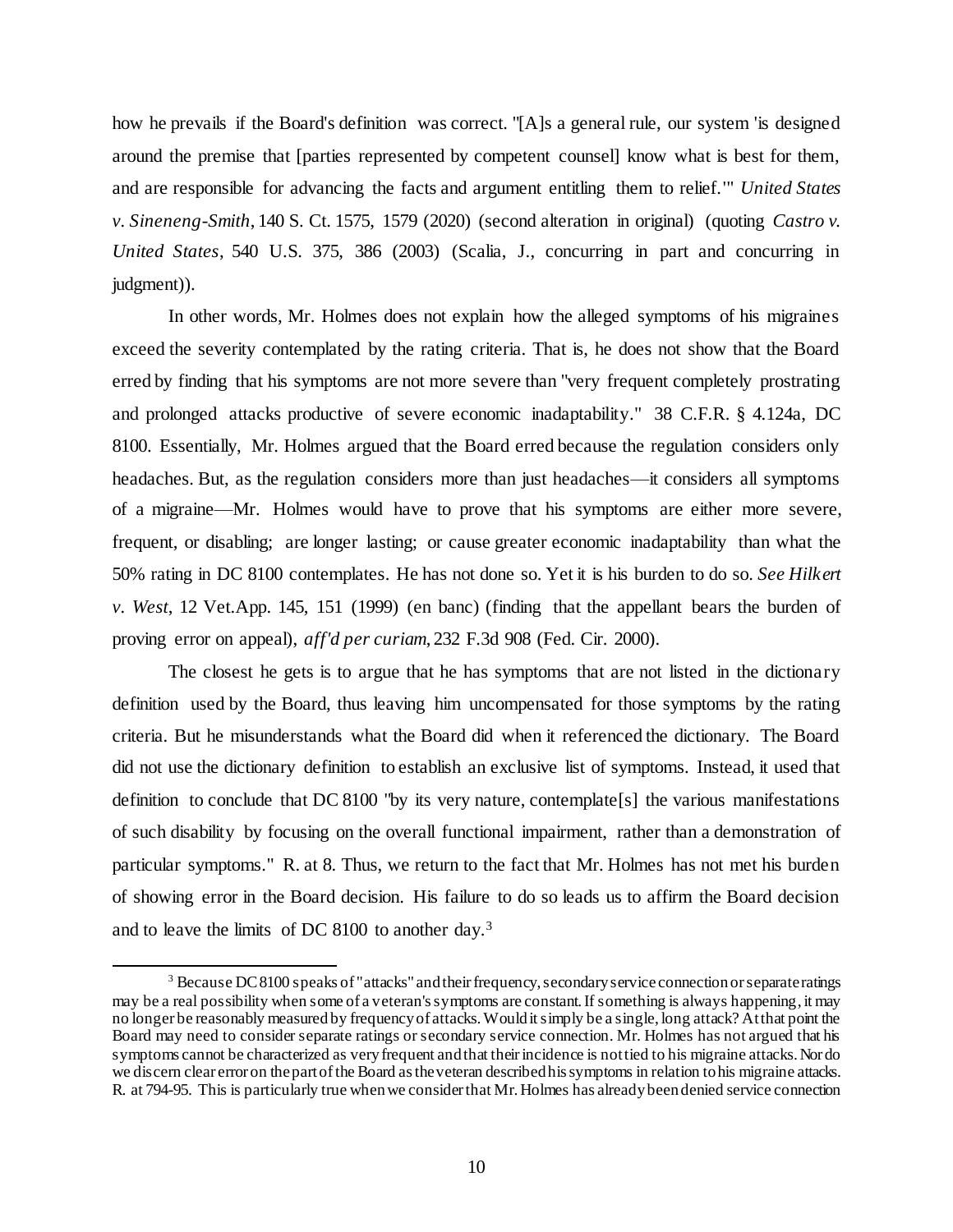how he prevails if the Board's definition was correct. "[A]s a general rule, our system 'is designed around the premise that [parties represented by competent counsel] know what is best for them, and are responsible for advancing the facts and argument entitling them to relief.'" *United States v. Sineneng-Smith*, 140 S. Ct. 1575, 1579 (2020) (second alteration in original) (quoting *Castro v. United States*, 540 U.S. 375, 386 (2003) (Scalia, J., concurring in part and concurring in judgment)).

In other words, Mr. Holmes does not explain how the alleged symptoms of his migraines exceed the severity contemplated by the rating criteria. That is, he does not show that the Board erred by finding that his symptoms are not more severe than "very frequent completely prostrating and prolonged attacks productive of severe economic inadaptability." 38 C.F.R. § 4.124a, DC 8100. Essentially, Mr. Holmes argued that the Board erred because the regulation considers only headaches. But, as the regulation considers more than just headaches—it considers all symptoms of a migraine—Mr. Holmes would have to prove that his symptoms are either more severe, frequent, or disabling; are longer lasting; or cause greater economic inadaptability than what the 50% rating in DC 8100 contemplates. He has not done so. Yet it is his burden to do so. *See Hilkert v. West*, 12 Vet.App. 145, 151 (1999) (en banc) (finding that the appellant bears the burden of proving error on appeal), *aff'd per curiam*, 232 F.3d 908 (Fed. Cir. 2000).

The closest he gets is to argue that he has symptoms that are not listed in the dictionary definition used by the Board, thus leaving him uncompensated for those symptoms by the rating criteria. But he misunderstands what the Board did when it referenced the dictionary. The Board did not use the dictionary definition to establish an exclusive list of symptoms. Instead, it used that definition to conclude that DC 8100 "by its very nature, contemplate[s] the various manifestations of such disability by focusing on the overall functional impairment, rather than a demonstration of particular symptoms." R. at 8. Thus, we return to the fact that Mr. Holmes has not met his burden of showing error in the Board decision. His failure to do so leads us to affirm the Board decision and to leave the limits of DC 8100 to another day.<sup>3</sup>

j

<sup>3</sup> Because DC 8100 speaks of "attacks" and their frequency, secondary service connection or separate ratings may be a real possibility when some of a veteran's symptoms are constant. If something is always happening,it may no longer be reasonably measured by frequency of attacks. Would it simply be a single, long attack? At that point the Board may need to consider separate ratings or secondary service connection. Mr. Holmes has not argued that his symptoms cannot be characterized as very frequent and that their incidence is not tied to his migraine attacks. Nor do we discern clear error on the part of the Board as the veteran described his symptoms in relation to his migraine attacks. R. at 794-95. This is particularly true when we consider that Mr. Holmes has already been denied service connection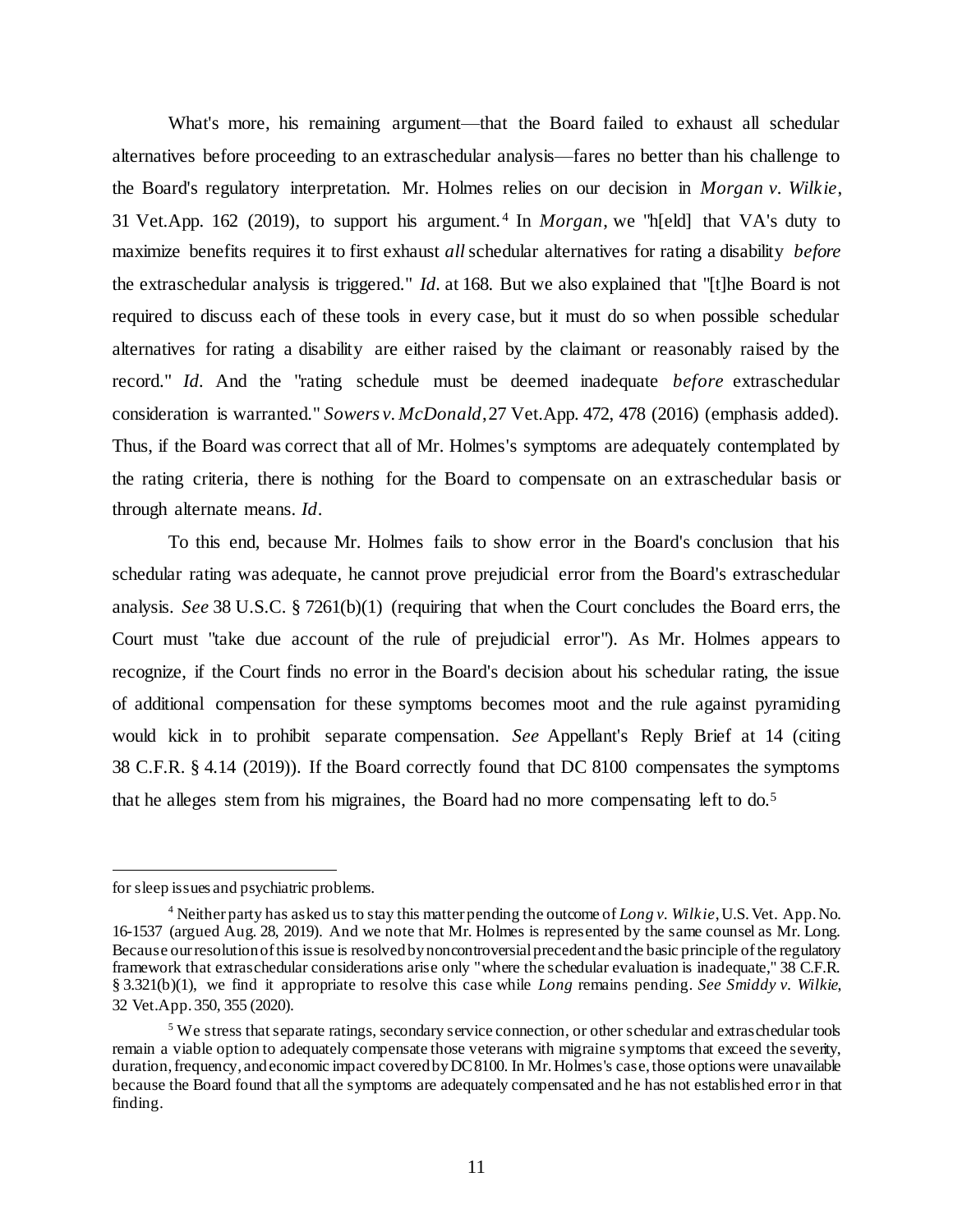What's more, his remaining argument—that the Board failed to exhaust all schedular alternatives before proceeding to an extraschedular analysis—fares no better than his challenge to the Board's regulatory interpretation. Mr. Holmes relies on our decision in *Morgan v. Wilkie*, 31 Vet.App. 162 (2019), to support his argument. <sup>4</sup> In *Morgan*, we "h[eld] that VA's duty to maximize benefits requires it to first exhaust *all*schedular alternatives for rating a disability *before* the extraschedular analysis is triggered." *Id.* at 168. But we also explained that "[t]he Board is not required to discuss each of these tools in every case, but it must do so when possible schedular alternatives for rating a disability are either raised by the claimant or reasonably raised by the record." *Id.* And the "rating schedule must be deemed inadequate *before* extraschedular consideration is warranted." *Sowers v. McDonald*, 27 Vet.App. 472, 478 (2016) (emphasis added). Thus, if the Board was correct that all of Mr. Holmes's symptoms are adequately contemplated by the rating criteria, there is nothing for the Board to compensate on an extraschedular basis or through alternate means. *Id*.

To this end, because Mr. Holmes fails to show error in the Board's conclusion that his schedular rating was adequate, he cannot prove prejudicial error from the Board's extraschedular analysis. *See* 38 U.S.C. § 7261(b)(1) (requiring that when the Court concludes the Board errs, the Court must "take due account of the rule of prejudicial error"). As Mr. Holmes appears to recognize, if the Court finds no error in the Board's decision about his schedular rating, the issue of additional compensation for these symptoms becomes moot and the rule against pyramiding would kick in to prohibit separate compensation. *See* Appellant's Reply Brief at 14 (citing 38 C.F.R. § 4.14 (2019)). If the Board correctly found that DC 8100 compensates the symptoms that he alleges stem from his migraines, the Board had no more compensating left to do.<sup>5</sup>

l

for sleep issues and psychiatric problems.

<sup>4</sup> Neither party has asked us to stay this matter pending the outcome of *Long v. Wilkie*, U.S. Vet. App. No. 16-1537 (argued Aug. 28, 2019). And we note that Mr. Holmes is represented by the same counsel as Mr. Long. Because our resolution of this issue is resolved by noncontroversial precedent and the basic principle of the regulatory framework that extraschedular considerations arise only "where the schedular evaluation is inadequate," 38 C.F.R. § 3.321(b)(1), we find it appropriate to resolve this case while *Long* remains pending. *See Smiddy v. Wilkie*, 32 Vet.App. 350, 355 (2020).

 $<sup>5</sup>$  We stress that separate ratings, secondary service connection, or other schedular and extraschedular tools</sup> remain a viable option to adequately compensate those veterans with migraine symptoms that exceed the severity, duration, frequency, and economic impact covered by DC 8100. In Mr. Holmes's case, those options were unavailable because the Board found that all the symptoms are adequately compensated and he has not established error in that finding.